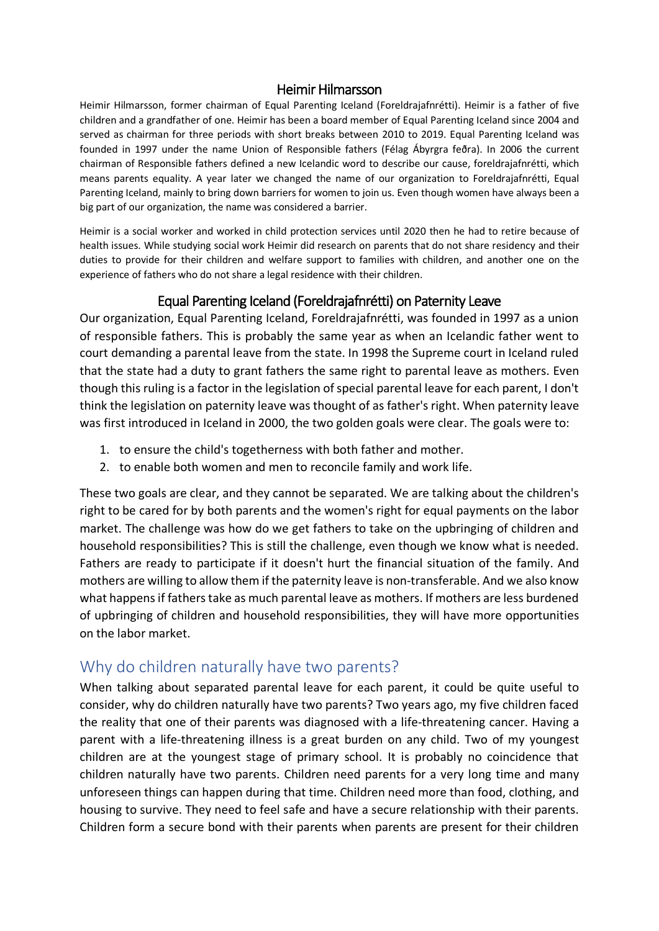#### Heimir Hilmarsson

Heimir Hilmarsson, former chairman of Equal Parenting Iceland (Foreldrajafnrétti). Heimir is a father of five children and a grandfather of one. Heimir has been a board member of Equal Parenting Iceland since 2004 and served as chairman for three periods with short breaks between 2010 to 2019. Equal Parenting Iceland was founded in 1997 under the name Union of Responsible fathers (Félag Ábyrgra feðra). In 2006 the current chairman of Responsible fathers defined a new Icelandic word to describe our cause, foreldrajafnrétti, which means parents equality. A year later we changed the name of our organization to Foreldrajafnrétti, Equal Parenting Iceland, mainly to bring down barriers for women to join us. Even though women have always been a big part of our organization, the name was considered a barrier.

Heimir is a social worker and worked in child protection services until 2020 then he had to retire because of health issues. While studying social work Heimir did research on parents that do not share residency and their duties to provide for their children and welfare support to families with children, and another one on the experience of fathers who do not share a legal residence with their children.

#### Equal Parenting Iceland (Foreldrajafnrétti) on Paternity Leave

Our organization, Equal Parenting Iceland, Foreldrajafnrétti, was founded in 1997 as a union of responsible fathers. This is probably the same year as when an Icelandic father went to court demanding a parental leave from the state. In 1998 the Supreme court in Iceland ruled that the state had a duty to grant fathers the same right to parental leave as mothers. Even though this ruling is a factor in the legislation of special parental leave for each parent, I don't think the legislation on paternity leave was thought of as father's right. When paternity leave was first introduced in Iceland in 2000, the two golden goals were clear. The goals were to:

- 1. to ensure the child's togetherness with both father and mother.
- 2. to enable both women and men to reconcile family and work life.

These two goals are clear, and they cannot be separated. We are talking about the children's right to be cared for by both parents and the women's right for equal payments on the labor market. The challenge was how do we get fathers to take on the upbringing of children and household responsibilities? This is still the challenge, even though we know what is needed. Fathers are ready to participate if it doesn't hurt the financial situation of the family. And mothers are willing to allow them if the paternity leave is non-transferable. And we also know what happens if fathers take as much parental leave as mothers. If mothers are less burdened of upbringing of children and household responsibilities, they will have more opportunities on the labor market.

## Why do children naturally have two parents?

When talking about separated parental leave for each parent, it could be quite useful to consider, why do children naturally have two parents? Two years ago, my five children faced the reality that one of their parents was diagnosed with a life-threatening cancer. Having a parent with a life-threatening illness is a great burden on any child. Two of my youngest children are at the youngest stage of primary school. It is probably no coincidence that children naturally have two parents. Children need parents for a very long time and many unforeseen things can happen during that time. Children need more than food, clothing, and housing to survive. They need to feel safe and have a secure relationship with their parents. Children form a secure bond with their parents when parents are present for their children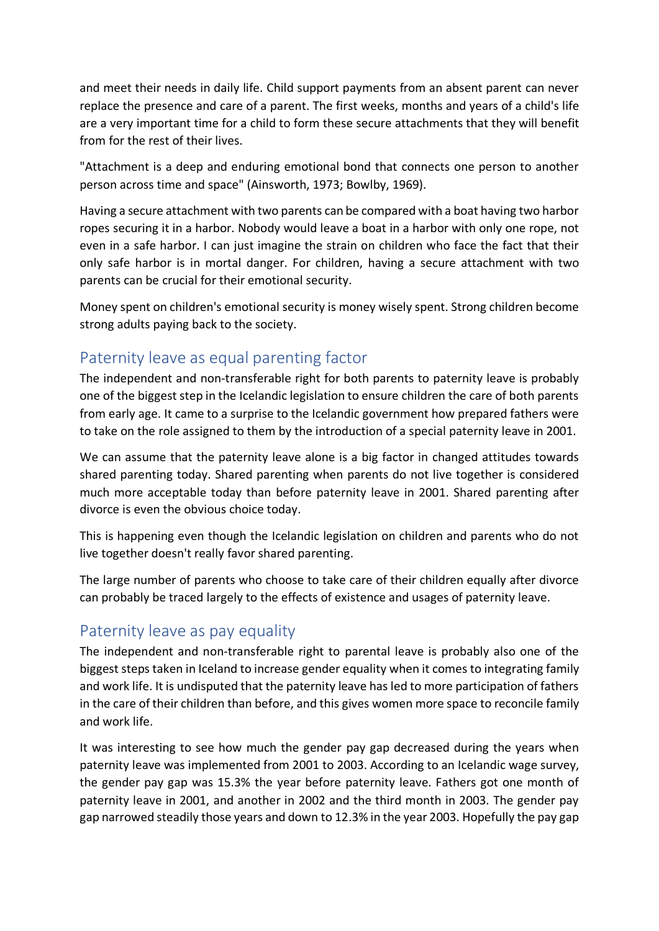and meet their needs in daily life. Child support payments from an absent parent can never replace the presence and care of a parent. The first weeks, months and years of a child's life are a very important time for a child to form these secure attachments that they will benefit from for the rest of their lives.

"Attachment is a deep and enduring emotional bond that connects one person to another person across time and space" (Ainsworth, 1973; Bowlby, 1969).

Having a secure attachment with two parents can be compared with a boat having two harbor ropes securing it in a harbor. Nobody would leave a boat in a harbor with only one rope, not even in a safe harbor. I can just imagine the strain on children who face the fact that their only safe harbor is in mortal danger. For children, having a secure attachment with two parents can be crucial for their emotional security.

Money spent on children's emotional security is money wisely spent. Strong children become strong adults paying back to the society.

## Paternity leave as equal parenting factor

The independent and non-transferable right for both parents to paternity leave is probably one of the biggest step in the Icelandic legislation to ensure children the care of both parents from early age. It came to a surprise to the Icelandic government how prepared fathers were to take on the role assigned to them by the introduction of a special paternity leave in 2001.

We can assume that the paternity leave alone is a big factor in changed attitudes towards shared parenting today. Shared parenting when parents do not live together is considered much more acceptable today than before paternity leave in 2001. Shared parenting after divorce is even the obvious choice today.

This is happening even though the Icelandic legislation on children and parents who do not live together doesn't really favor shared parenting.

The large number of parents who choose to take care of their children equally after divorce can probably be traced largely to the effects of existence and usages of paternity leave.

#### Paternity leave as pay equality

The independent and non-transferable right to parental leave is probably also one of the biggest steps taken in Iceland to increase gender equality when it comes to integrating family and work life. It is undisputed that the paternity leave has led to more participation of fathers in the care of their children than before, and this gives women more space to reconcile family and work life.

It was interesting to see how much the gender pay gap decreased during the years when paternity leave was implemented from 2001 to 2003. According to an Icelandic wage survey, the gender pay gap was 15.3% the year before paternity leave. Fathers got one month of paternity leave in 2001, and another in 2002 and the third month in 2003. The gender pay gap narrowed steadily those years and down to 12.3% in the year 2003. Hopefully the pay gap